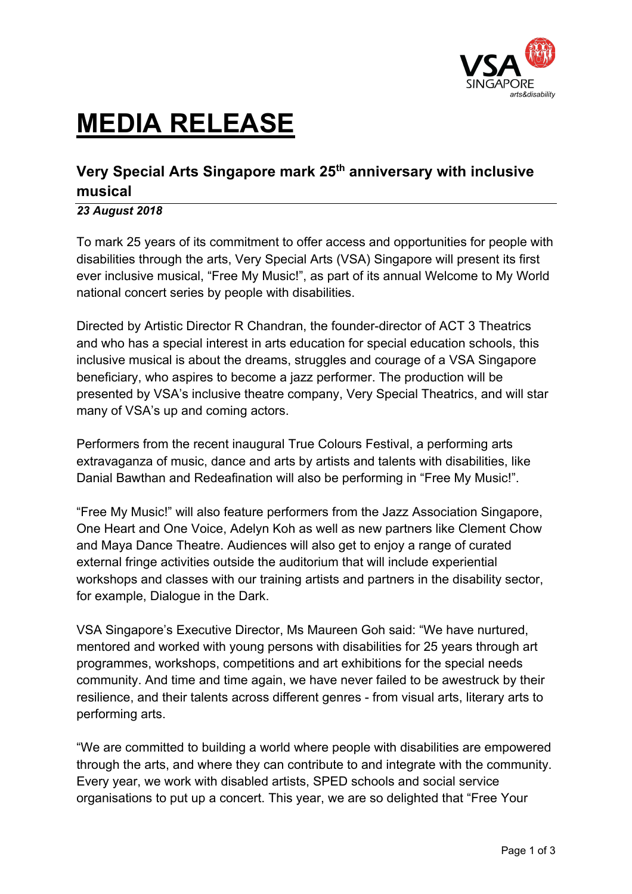

# **MEDIA RELEASE**

## **Very Special Arts Singapore mark 25th anniversary with inclusive musical**

## *23 August 2018*

To mark 25 years of its commitment to offer access and opportunities for people with disabilities through the arts, Very Special Arts (VSA) Singapore will present its first ever inclusive musical, "Free My Music!", as part of its annual Welcome to My World national concert series by people with disabilities.

Directed by Artistic Director R Chandran, the founder-director of ACT 3 Theatrics and who has a special interest in arts education for special education schools, this inclusive musical is about the dreams, struggles and courage of a VSA Singapore beneficiary, who aspires to become a jazz performer. The production will be presented by VSA's inclusive theatre company, Very Special Theatrics, and will star many of VSA's up and coming actors.

Performers from the recent inaugural True Colours Festival, a performing arts extravaganza of music, dance and arts by artists and talents with disabilities, like Danial Bawthan and Redeafination will also be performing in "Free My Music!".

"Free My Music!" will also feature performers from the Jazz Association Singapore, One Heart and One Voice, Adelyn Koh as well as new partners like Clement Chow and Maya Dance Theatre. Audiences will also get to enjoy a range of curated external fringe activities outside the auditorium that will include experiential workshops and classes with our training artists and partners in the disability sector, for example, Dialogue in the Dark.

VSA Singapore's Executive Director, Ms Maureen Goh said: "We have nurtured, mentored and worked with young persons with disabilities for 25 years through art programmes, workshops, competitions and art exhibitions for the special needs community. And time and time again, we have never failed to be awestruck by their resilience, and their talents across different genres - from visual arts, literary arts to performing arts.

"We are committed to building a world where people with disabilities are empowered through the arts, and where they can contribute to and integrate with the community. Every year, we work with disabled artists, SPED schools and social service organisations to put up a concert. This year, we are so delighted that "Free Your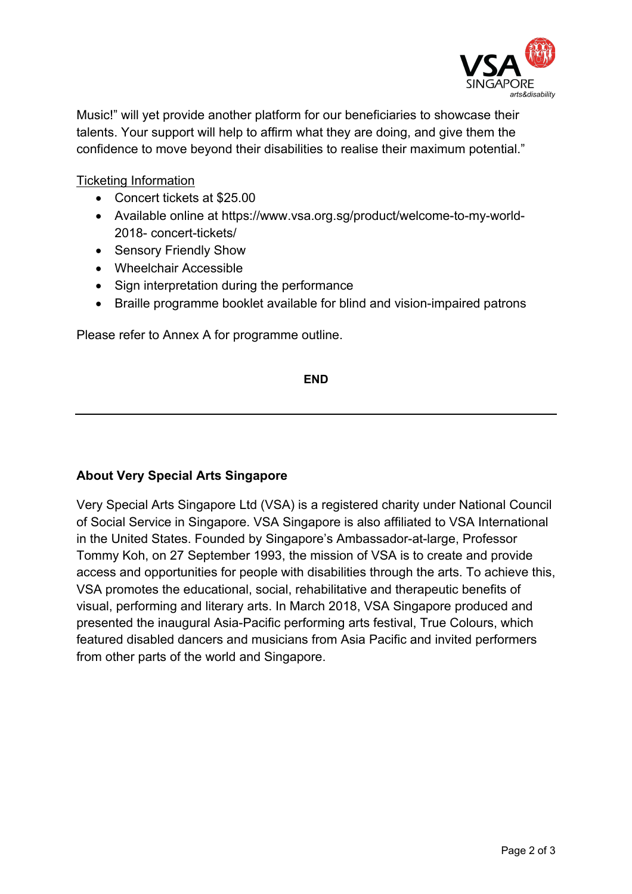

Music!" will yet provide another platform for our beneficiaries to showcase their talents. Your support will help to affirm what they are doing, and give them the confidence to move beyond their disabilities to realise their maximum potential."

Ticketing Information

- Concert tickets at \$25.00
- Available online at https://www.vsa.org.sg/product/welcome-to-my-world-2018- concert-tickets/
- Sensory Friendly Show
- Wheelchair Accessible
- Sign interpretation during the performance
- Braille programme booklet available for blind and vision-impaired patrons

Please refer to Annex A for programme outline.

**END**

## **About Very Special Arts Singapore**

Very Special Arts Singapore Ltd (VSA) is a registered charity under National Council of Social Service in Singapore. VSA Singapore is also affiliated to VSA International in the United States. Founded by Singapore's Ambassador-at-large, Professor Tommy Koh, on 27 September 1993, the mission of VSA is to create and provide access and opportunities for people with disabilities through the arts. To achieve this, VSA promotes the educational, social, rehabilitative and therapeutic benefits of visual, performing and literary arts. In March 2018, VSA Singapore produced and presented the inaugural Asia-Pacific performing arts festival, True Colours, which featured disabled dancers and musicians from Asia Pacific and invited performers from other parts of the world and Singapore.